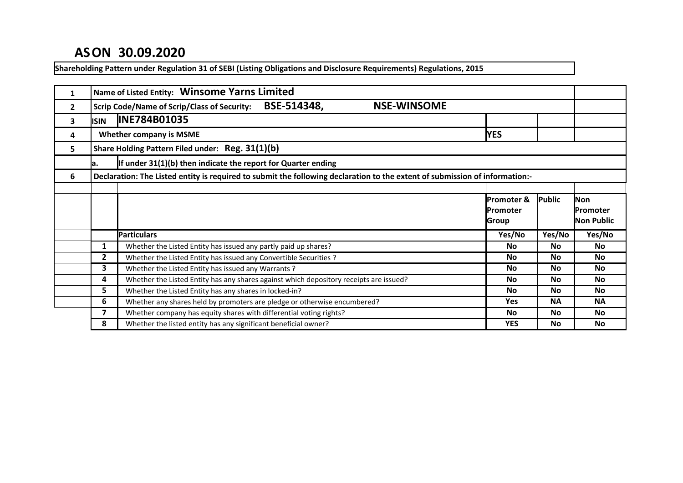# **ASON 30.09.2020**

**Shareholding Pattern under Regulation 31 of SEBI (Listing Obligations and Disclosure Requirements) Regulations, 2015**

| 1            |                | Name of Listed Entity: Winsome Yarns Limited                                                                                |                  |           |            |
|--------------|----------------|-----------------------------------------------------------------------------------------------------------------------------|------------------|-----------|------------|
| $\mathbf{2}$ |                | BSE-514348,<br><b>NSE-WINSOME</b><br><b>Scrip Code/Name of Scrip/Class of Security:</b>                                     |                  |           |            |
| 3            | <b>ISIN</b>    | <b>INE784B01035</b>                                                                                                         |                  |           |            |
| 4            |                | <b>Whether company is MSME</b>                                                                                              | <b>YES</b>       |           |            |
| 5            |                | Share Holding Pattern Filed under: Reg. 31(1)(b)                                                                            |                  |           |            |
|              | la.            | If under $31(1)(b)$ then indicate the report for Quarter ending                                                             |                  |           |            |
| 6            |                | Declaration: The Listed entity is required to submit the following declaration to the extent of submission of information:- |                  |           |            |
|              |                |                                                                                                                             |                  |           |            |
|              |                |                                                                                                                             | lPromoter &      | Public    | Non        |
|              |                |                                                                                                                             | <b>IPromoter</b> |           | lPromoter  |
|              |                |                                                                                                                             | Group            |           | Non Public |
|              |                | <b>Particulars</b>                                                                                                          | Yes/No           | Yes/No    | Yes/No     |
|              | 1              | Whether the Listed Entity has issued any partly paid up shares?                                                             | <b>No</b>        | <b>No</b> | No         |
|              | $\overline{2}$ | Whether the Listed Entity has issued any Convertible Securities ?                                                           | No               | No        | <b>No</b>  |
|              | 3              | Whether the Listed Entity has issued any Warrants?                                                                          | <b>No</b>        | <b>No</b> | <b>No</b>  |
|              | 4              | Whether the Listed Entity has any shares against which depository receipts are issued?                                      | <b>No</b>        | <b>No</b> | <b>No</b>  |
|              | 5              | Whether the Listed Entity has any shares in locked-in?                                                                      | <b>No</b>        | <b>No</b> | <b>No</b>  |
|              | 6              | Whether any shares held by promoters are pledge or otherwise encumbered?                                                    | <b>Yes</b>       | <b>NA</b> | <b>NA</b>  |
|              | $\overline{ }$ | Whether company has equity shares with differential voting rights?                                                          | No               | No        | No         |
|              | 8              | Whether the listed entity has any significant beneficial owner?                                                             | <b>YES</b>       | <b>No</b> | <b>No</b>  |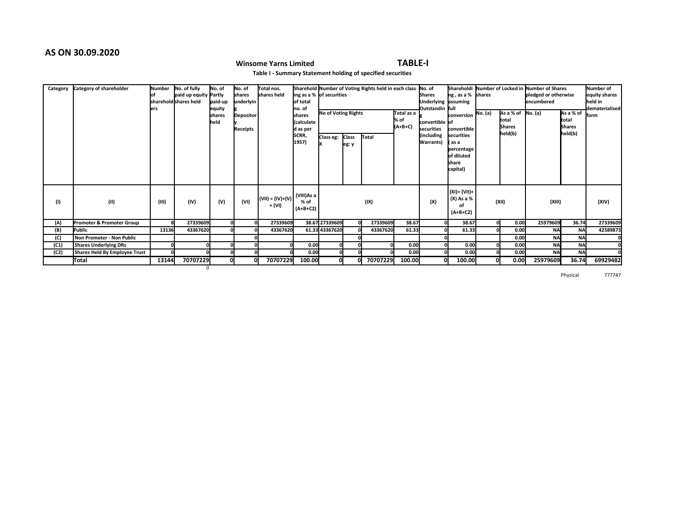# **AS ON 30.09.2020**

# **Winsome Yarns Limited TABLE-I**

**Table I - Summary Statement holding of specified securities**

| Category | Category of shareholder       | Number<br>lers | No. of fully<br>paid up equity Partly<br>shareholdİshares held | No. of<br>paid-up<br>equity<br>shares<br><b>I</b> held | INo. of<br>shares<br>underlyin<br><b>Depositor</b><br>Receipts | Total nos.<br>shares held    | lof total<br>lno. of<br>shares<br>(calculate<br>d as per | Sharehold Number of Voting Rights held in each class No. of<br>ing as a % of securities<br>No of Voting Rights |                       |          | Total as a $\int_{a}$<br>% of<br>$(A+B+C)$ | <b>Shares</b><br><b>Underlying assuming</b><br>Outstandin full<br>convertible of<br>securities | $\ln g$ , as a % shares<br>conversion No. (a)<br>convertible                  | As a % of $\sqrt{N}$ o. (a)<br>total<br><b>Shares</b> | Shareholdi Number of Locked in Number of Shares<br>pledged or otherwise<br>lencumbered | As a % of<br>total<br><b>Shares</b> | Number of<br>equity shares<br>held in<br>dematerialised<br>lform |
|----------|-------------------------------|----------------|----------------------------------------------------------------|--------------------------------------------------------|----------------------------------------------------------------|------------------------------|----------------------------------------------------------|----------------------------------------------------------------------------------------------------------------|-----------------------|----------|--------------------------------------------|------------------------------------------------------------------------------------------------|-------------------------------------------------------------------------------|-------------------------------------------------------|----------------------------------------------------------------------------------------|-------------------------------------|------------------------------------------------------------------|
|          |                               |                |                                                                |                                                        |                                                                |                              | SCRR,<br>1957)                                           | Class eg:                                                                                                      | <b>Class</b><br>eg: y | Total    |                                            | (including<br>Warrants)                                                                        | <b>securities</b><br>l as a<br>percentage<br>of diluted<br>Ishare<br>capital) | held(b)                                               |                                                                                        | held(b)                             |                                                                  |
| (1)      | (II)                          | (III)          | (IV)                                                           | (V)                                                    | (VI)                                                           | $(VII) = (IV)+(V)$<br>+ (VI) | (VIII)As a<br>% of<br>$(A+B+C2)$                         |                                                                                                                |                       | (IX)     |                                            | (X)                                                                                            | (XI) = (VII) +<br>(X) As a %<br>οf<br>$(A+B+C2)$                              | (XII)                                                 | (XIII)                                                                                 |                                     | (XIV)                                                            |
| (A)      | Promoter & Promoter Group     | я              | 27339609                                                       |                                                        |                                                                | 27339609                     |                                                          | 38.67 27339609                                                                                                 |                       | 27339609 | 38.67                                      |                                                                                                | 38.67                                                                         | 0.00                                                  | 25979609                                                                               | 36.74                               | 27339609                                                         |
| (B)      | lPublic                       | 13136          | 43367620                                                       |                                                        |                                                                | 43367620                     |                                                          | 61.33 43367620                                                                                                 |                       | 43367620 | 61.33                                      |                                                                                                | 61.33                                                                         | 0.00                                                  | <b>NA</b>                                                                              | <b>NA</b>                           | 42589873                                                         |
| (C)      | Non Promoter - Non Public     |                |                                                                |                                                        |                                                                |                              |                                                          |                                                                                                                |                       |          |                                            |                                                                                                |                                                                               | 0.00                                                  | <b>NA</b>                                                                              | <b>NA</b>                           |                                                                  |
| (C1)     | <b>Shares Underlying DRs</b>  |                |                                                                |                                                        |                                                                |                              | 0.00                                                     | 0l                                                                                                             |                       |          | 0.00                                       |                                                                                                | 0.00                                                                          | 0.00                                                  | <b>NA</b>                                                                              | <b>NA</b>                           |                                                                  |
| (C2)     | Shares Held By Employee Trust |                |                                                                |                                                        |                                                                |                              | 0.00                                                     | O                                                                                                              |                       |          | 0.00                                       |                                                                                                | 0.00                                                                          | 0.00                                                  | <b>NA</b>                                                                              | <b>NA</b>                           |                                                                  |
|          | Total                         | 13144          | 70707229                                                       |                                                        |                                                                | 70707229                     | 100.00                                                   | 0l                                                                                                             |                       | 70707229 | 100.00                                     |                                                                                                | 100.00                                                                        | 0.00                                                  | 25979609                                                                               | 36.74                               | 69929482                                                         |
|          |                               |                | $\Omega$                                                       |                                                        |                                                                |                              |                                                          |                                                                                                                |                       |          |                                            |                                                                                                |                                                                               |                                                       |                                                                                        |                                     |                                                                  |

Physical 777747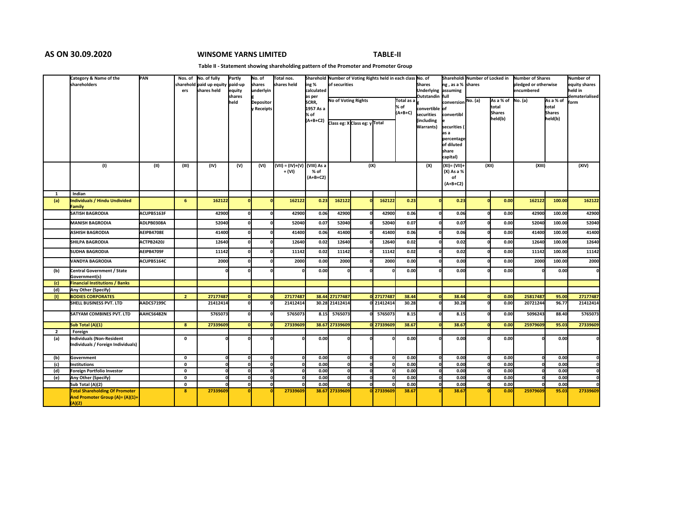# **AS ON 30.09.2020 WINSOME YARNS LIMITED TABLE-II**

### **Table II - Statement showing shareholding pattern of the Promoter and Promoter Group**

|                | Category & Name of the<br>shareholders                          | PAN        |                | Nos. of No. of fully                    | Partly<br>paid-up | No. of<br>shares | Total nos.<br>shares held    |                     | Sharehold Number of Voting Rights held in each class No. of<br>of securities |  |            |               | Shareholdi Number of Locked in       |                    | Number of Shares<br>pledged or otherwise |                             | Number of   |                          |                          |
|----------------|-----------------------------------------------------------------|------------|----------------|-----------------------------------------|-------------------|------------------|------------------------------|---------------------|------------------------------------------------------------------------------|--|------------|---------------|--------------------------------------|--------------------|------------------------------------------|-----------------------------|-------------|--------------------------|--------------------------|
|                |                                                                 |            | ers            | sharehold paid up equity<br>shares held | lequity           | underlyin        |                              | ing %<br>calculated |                                                                              |  |            |               | <b>Shares</b><br>Underlying assuming | ng, as a % shares  |                                          |                             | lencumbered |                          | equity shares<br>held in |
|                |                                                                 |            |                |                                         | shares<br>held    | <b>Depositor</b> |                              | as per<br>SCRR,     | No of Voting Rights                                                          |  |            | Total as a    | Outstandin full                      | conversion No. (a) |                                          | As a % of $\sqrt{N}$ o. (a) |             | As a % of                | dematerialised<br>form   |
|                |                                                                 |            |                |                                         |                   | v Receipts       |                              | 1957 As a           |                                                                              |  |            | % of          | convertible of                       |                    |                                          | total                       |             | total                    |                          |
|                |                                                                 |            |                |                                         |                   |                  |                              | % of<br>$(A+B+C2)$  |                                                                              |  |            | $(A+B+C)$     | securities<br>(including             | convertibl         |                                          | <b>Shares</b><br>held(b)    |             | <b>Shares</b><br>held(b) |                          |
|                |                                                                 |            |                |                                         |                   |                  |                              |                     | Class eg: X Class eg: y Total                                                |  |            |               | Warrants)                            | securities (       |                                          |                             |             |                          |                          |
|                |                                                                 |            |                |                                         |                   |                  |                              |                     |                                                                              |  |            |               |                                      | as a<br>percentage |                                          |                             |             |                          |                          |
|                |                                                                 |            |                |                                         |                   |                  |                              |                     |                                                                              |  |            |               |                                      | of diluted         |                                          |                             |             |                          |                          |
|                |                                                                 |            |                |                                         |                   |                  |                              |                     |                                                                              |  |            |               |                                      | share<br>capital)  |                                          |                             |             |                          |                          |
|                | (1)                                                             | (II)       | (III)          | (IV)                                    | (V)               | (VI)             | (VII) = (IV)+(V) (VIII) As a |                     |                                                                              |  | (IX)       |               | (X)                                  | $(XI) = (VII)$     | (XII)                                    |                             | (XIII)      |                          | (XIV)                    |
|                |                                                                 |            |                |                                         |                   |                  | + (VI)                       | % of<br>$(A+B+C2)$  |                                                                              |  |            |               |                                      | (X) As a %<br>of   |                                          |                             |             |                          |                          |
|                |                                                                 |            |                |                                         |                   |                  |                              |                     |                                                                              |  |            |               |                                      | $(A+B+C2)$         |                                          |                             |             |                          |                          |
| 1              | Indian                                                          |            |                |                                         |                   |                  |                              |                     |                                                                              |  |            |               |                                      |                    |                                          |                             |             |                          |                          |
| (a)            | Individuals / Hindu Undivided<br>Family                         |            | 6              | 162122                                  |                   |                  | 162122                       | 0.23                | 162122                                                                       |  | 162122     | 0.23          |                                      | 0.23               |                                          | 0.00                        | 162122      | 100.00                   | 162122                   |
|                | <b>SATISH BAGRODIA</b>                                          | ACUPB5163F |                | 42900                                   |                   |                  | 42900                        | 0.06                | 42900                                                                        |  | 42900      | 0.06          |                                      | 0.06               |                                          | 0.00                        | 42900       | 100.00                   | 42900                    |
|                | <b>MANISH BAGRODIA</b>                                          | ADLPB0308A |                | 52040                                   |                   |                  | 52040                        | 0.07                | 52040                                                                        |  | 52040      | 0.07          |                                      | 0.07               |                                          | 0.00                        | 52040       | 100.00                   | 52040                    |
|                | <b>ASHISH BAGRODIA</b>                                          | AEIPB4708E |                | 41400                                   |                   |                  | 41400                        | 0.06                | 41400                                                                        |  | 41400      | 0.06          |                                      | 0.06               |                                          | 0.00                        | 41400       | 100.00                   | 41400                    |
|                | <b>SHILPA BAGRODIA</b>                                          | ACTPB2420J |                | 12640                                   |                   |                  | 12640                        | 0.02                | 12640                                                                        |  | 12640      | 0.02          |                                      | 0.02               |                                          | 0.00                        | 12640       | 100.00                   | 12640                    |
|                | <b>SUDHA BAGRODIA</b>                                           | AEIPB4709F |                | 11142                                   |                   |                  | 11142                        | 0.02                | 11142                                                                        |  | 11142      | 0.02          |                                      | 0.02               |                                          | 0.00                        | 11142       | 100.00                   | 11142                    |
|                | <b>VANDYA BAGRODIA</b>                                          | ACUPB5164C |                | 2000                                    |                   |                  | 2000                         | 0.00                | 2000                                                                         |  | 2000       | 0.00          |                                      | 0.00               |                                          | 0.00                        | 2000        | 100.00                   | 2000                     |
| (b)            | Central Government / State<br>Government(s)                     |            |                |                                         |                   |                  |                              | 0.00                |                                                                              |  |            | 0.00          |                                      | 0.00               |                                          | 0.00                        |             | 0.00                     | o                        |
| (c)            | <b>Financial Institutions / Banks</b>                           |            |                |                                         |                   |                  |                              |                     |                                                                              |  |            |               |                                      |                    |                                          |                             |             |                          |                          |
| (d)<br>D.      | Any Other (Specify)<br><b>BODIES CORPORATES</b>                 |            | $\overline{2}$ | 27177487                                |                   |                  | 27177487                     |                     | 38.44 27177487                                                               |  | 0 27177487 | 38.44         |                                      | 38.44              |                                          | 0.00                        | 25817487    | 95.00                    | 27177487                 |
|                | <b>SHELL BUSINESS PVT. LTD</b>                                  | AADCS7199C |                | 21412414                                |                   |                  | 21412414                     |                     | 30.28 21412414                                                               |  | 0 21412414 | 30.28         |                                      | 30.28              |                                          | 0.00                        | 20721244    | 96.77                    | 21412414                 |
|                | <b>SATYAM COMBINES PVT. LTD</b>                                 | AAHCS6482N |                | 5765073                                 |                   |                  | 5765073                      | 8.15                | 5765073                                                                      |  | 5765073    | 8.15          |                                      | 8.15               |                                          | 0.00                        | 5096243     | 88.40                    | 5765073                  |
|                | Sub Total (A)(1)                                                |            | $\bf{8}$       | 27339609                                |                   |                  | 27339609                     |                     | 38.67 27339609                                                               |  | 0 27339609 | 38.67         |                                      | 38.67              |                                          | 0.00                        | 25979609    | 95.03                    | 27339609                 |
| $\overline{2}$ | Foreign                                                         |            |                |                                         |                   |                  |                              |                     |                                                                              |  |            |               |                                      |                    |                                          |                             |             |                          |                          |
| (a)            | Individuals (Non-Resident<br>Individuals / Foreign Individuals) |            | 0              |                                         |                   |                  |                              | 0.00                |                                                                              |  |            | 0.00          |                                      | 0.00               |                                          | 0.00                        |             | 0.00                     |                          |
|                |                                                                 |            |                |                                         |                   |                  |                              |                     |                                                                              |  |            |               |                                      |                    |                                          |                             |             |                          |                          |
| (b)            | Government                                                      |            | 0              |                                         |                   |                  |                              | 0.00                |                                                                              |  |            | 0.00          |                                      | 0.00               |                                          | 0.00                        |             | 0.00                     | $\Omega$                 |
| (c)            | Institutions                                                    |            | $\mathbf{0}$   |                                         |                   |                  |                              | 0.00                |                                                                              |  |            | 0.00          |                                      | 0.00               |                                          | 0.00                        |             | 0.00                     | o                        |
| (d)            | Foreign Portfolio Investor                                      |            | 0              |                                         |                   |                  |                              | 0.00                |                                                                              |  |            | 0.00          |                                      | 0.00               |                                          | 0.00                        |             | 0.00                     | $\Omega$                 |
| (e)            | Any Other (Specify)                                             |            | 0              |                                         |                   | $\mathbf{a}$     |                              | 0.00                |                                                                              |  |            | 0.00          |                                      | 0.00               |                                          | 0.00                        |             | 0.00                     | $\Omega$                 |
|                | Sub Total (A)(2)<br><b>Total Shareholding Of Promoter</b>       |            | 0<br>8         | 27339609                                |                   | $\mathbf{a}$     | 27339609                     | 0.00                | 38.67 27339609                                                               |  | 0 27339609 | 0.00<br>38.67 |                                      | 0.00<br>38.67      |                                          | 0.00<br>0.00                | 25979609    | 0.00                     | 27339609                 |
|                | And Promoter Group (A)= (A)(1)+<br>(A)(2)                       |            |                |                                         |                   |                  |                              |                     |                                                                              |  |            |               |                                      |                    |                                          |                             |             | 95.03                    |                          |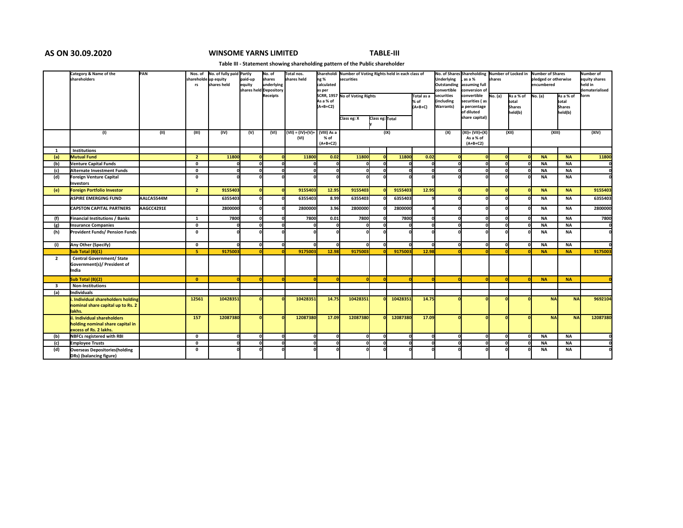## **AS ON 30.09.2020 WINSOME YARNS LIMITED TABLE-III**

### **Table III - Statement showing shareholding pattern of the Public shareholder**

|                         | Category & Name of the                | PAN        | Nos. of              | No. of fully paid Partly |            | No. of                 | Total nos.                   |             | Shareholdi Number of Voting Rights held in each class of |                 |          |            |              | No. of Shares Shareholding Number of Locked in Number of Shares |         |                          |                      |                          | Number of      |
|-------------------------|---------------------------------------|------------|----------------------|--------------------------|------------|------------------------|------------------------------|-------------|----------------------------------------------------------|-----------------|----------|------------|--------------|-----------------------------------------------------------------|---------|--------------------------|----------------------|--------------------------|----------------|
|                         | <b>shareholders</b>                   |            | shareholde up equity |                          | paid-up    | shares                 | shares held                  | ng %        | securities                                               |                 |          |            | Underlying   | as a %                                                          | shares  |                          | pledged or otherwise | equity shares            |                |
|                         |                                       |            | rs                   | shares held              | equity     | underlying             |                              | calculated  |                                                          |                 |          |            | Outstanding  | assuming full                                                   |         |                          | encumbered           |                          | held in        |
|                         |                                       |            |                      |                          |            | shares held Depository |                              | as per      |                                                          |                 |          |            | convertible  | conversion of                                                   |         |                          |                      |                          | dematerialised |
|                         |                                       |            |                      |                          |            | Receipts               |                              |             | SCRR, 1957 No of Voting Rights                           |                 |          | Total as a | securities   | convertible                                                     | No. (a) | As a % of                | No. (a)              | As a % of                | form           |
|                         |                                       |            |                      |                          |            |                        |                              | As a % of   |                                                          |                 |          | % of       | (including   | securities (as                                                  |         | total                    |                      | total                    |                |
|                         |                                       |            |                      |                          |            |                        |                              | $(A+B+C2)$  |                                                          |                 |          | $(A+B+C)$  | Warrants)    | a percentage<br>of diluted                                      |         | <b>Shares</b><br>held(b) |                      | <b>Shares</b><br>held(b) |                |
|                         |                                       |            |                      |                          |            |                        |                              |             | Class eg: X                                              | Class eg: Total |          |            |              | share capital)                                                  |         |                          |                      |                          |                |
|                         |                                       |            |                      |                          |            |                        |                              |             |                                                          |                 |          |            |              |                                                                 |         |                          |                      |                          |                |
|                         |                                       |            |                      |                          |            |                        |                              | (VIII) As a |                                                          |                 | (IX)     |            |              |                                                                 |         |                          |                      |                          |                |
|                         | (1)                                   | (11)       | (III)                | (IV)                     | (V)        | (VI)                   | $(VII) = (IV)+(V) +$<br>(VI) | % of        |                                                          |                 |          |            | (X)          | (XI)= (VII)+(X)<br>As a % of                                    |         | (XII)                    | (XIII)               |                          | (XIV)          |
|                         |                                       |            |                      |                          |            |                        |                              | $(A+B+C2)$  |                                                          |                 |          |            |              | $(A+B+C2)$                                                      |         |                          |                      |                          |                |
| 1                       | Institutions                          |            |                      |                          |            |                        |                              |             |                                                          |                 |          |            |              |                                                                 |         |                          |                      |                          |                |
| (a)                     | <b>Mutual Fund</b>                    |            | $\overline{2}$       | 11800                    | n          |                        | 11800                        | 0.02        | 11800                                                    |                 | 11800    | 0.02       |              | $\Omega$                                                        |         |                          | <b>NA</b>            | <b>NA</b>                | 11800          |
| (b)                     | Venture Capital Funds                 |            | $\mathbf{0}$         |                          |            |                        |                              |             |                                                          |                 |          |            |              | n                                                               |         |                          | <b>NA</b>            | <b>NA</b>                |                |
| (c)                     | Alternate Investment Funds            |            | $\mathbf{0}$         | n                        |            |                        |                              | 0           |                                                          |                 |          |            | $\Omega$     | $\Omega$                                                        |         |                          | <b>NA</b>            | <b>NA</b>                |                |
| (d)                     | <b>Foreign Venture Capital</b>        |            | $\mathbf 0$          |                          |            |                        |                              |             |                                                          |                 |          |            |              |                                                                 |         |                          | <b>NA</b>            | <b>NA</b>                |                |
|                         | Investors                             |            |                      |                          |            |                        |                              |             |                                                          |                 |          |            |              |                                                                 |         |                          |                      |                          |                |
| (e)                     | <b>Foreign Portfolio Investor</b>     |            | $\overline{2}$       | 9155403                  | $\Omega$   |                        | 9155403                      | 12.95       | 9155403                                                  |                 | 9155403  | 12.95      | $\Omega$     | $\Omega$                                                        |         |                          | <b>NA</b>            | <b>NA</b>                | 9155403        |
|                         | <b>ASPIRE EMERGING FUND</b>           | AALCA5544M |                      | 6355403                  |            |                        | 6355403                      | 8.99        | 6355403                                                  |                 | 6355403  |            |              | n                                                               |         |                          | <b>NA</b>            | <b>NA</b>                | 6355403        |
|                         | <b>CAPSTON CAPITAL PARTNERS</b>       | AAGCC4291E |                      | 2800000                  |            |                        | 2800000                      | 3.96        | 2800000                                                  |                 | 2800000  |            | n            | $\Omega$                                                        |         |                          | <b>NA</b>            | <b>NA</b>                | 2800000        |
| (f)                     | Financial Institutions / Banks        |            | 1                    | 7800                     | n          |                        | 7800                         | 0.01        | 7800                                                     |                 | 7800     |            | $\Omega$     | 0                                                               |         |                          | <b>NA</b>            | <b>NA</b>                | 7800           |
| (g)                     | <b>Insurance Companies</b>            |            | $\mathbf 0$          |                          |            |                        |                              |             |                                                          |                 |          |            | $\Omega$     | $\Omega$                                                        |         |                          | <b>NA</b>            | <b>NA</b>                |                |
| (h)                     | <b>Provident Funds/ Pension Funds</b> |            | $\mathbf 0$          |                          |            |                        |                              |             |                                                          |                 |          |            |              |                                                                 |         |                          | <b>NA</b>            | <b>NA</b>                | ΩI             |
|                         |                                       |            |                      |                          |            |                        |                              |             |                                                          |                 |          |            |              |                                                                 |         |                          |                      |                          |                |
| (i)                     | Any Other (Specify)                   |            | $\mathbf 0$          |                          | n          |                        |                              | n           |                                                          |                 |          |            | 0            | $\Omega$                                                        |         |                          | <b>NA</b>            | <b>NA</b>                |                |
|                         | Sub Total (B)(1)                      |            | 5                    | 9175003                  |            |                        | 9175003                      | 12.98       | 9175003                                                  |                 | 9175003  | 12.98      |              |                                                                 |         |                          | <b>NA</b>            | <b>NA</b>                | 9175003        |
| $\overline{2}$          | <b>Central Government/ State</b>      |            |                      |                          |            |                        |                              |             |                                                          |                 |          |            |              |                                                                 |         |                          |                      |                          |                |
|                         | Government(s)/ President of           |            |                      |                          |            |                        |                              |             |                                                          |                 |          |            |              |                                                                 |         |                          |                      |                          |                |
|                         | India                                 |            |                      |                          |            |                        |                              |             |                                                          |                 |          |            |              |                                                                 |         |                          |                      |                          |                |
|                         | Sub Total (B)(2)                      |            | $\mathbf{0}$         | $\overline{0}$           | $\sqrt{2}$ |                        |                              |             | $\sqrt{2}$                                               |                 |          |            |              | n                                                               |         |                          | <b>NA</b>            | <b>NA</b>                |                |
| $\overline{\mathbf{3}}$ | <b>Non-Institutions</b>               |            |                      |                          |            |                        |                              |             |                                                          |                 |          |            |              |                                                                 |         |                          |                      |                          |                |
| (a)                     | <b>I</b> Individuals                  |            |                      |                          |            |                        |                              |             |                                                          |                 |          |            |              |                                                                 |         |                          |                      |                          |                |
|                         | i. Individual shareholders holding    |            | 12561                | 10428351                 |            |                        | 10428351                     | 14.75       | 10428351                                                 |                 | 10428351 | 14.75      |              |                                                                 |         |                          | <b>NA</b>            | <b>NA</b>                | 9692104        |
|                         | nominal share capital up to Rs. 2     |            |                      |                          |            |                        |                              |             |                                                          |                 |          |            |              |                                                                 |         |                          |                      |                          |                |
|                         | lakhs.                                |            |                      |                          |            |                        |                              |             |                                                          |                 |          |            |              |                                                                 |         |                          |                      |                          |                |
|                         | ii. Individual shareholders           |            | 157                  | 12087380                 | n          |                        | 12087380                     | 17.09       | 12087380                                                 |                 | 12087380 | 17.09      |              | n                                                               |         |                          | <b>NA</b>            | <b>NA</b>                | 12087380       |
|                         | holding nominal share capital in      |            |                      |                          |            |                        |                              |             |                                                          |                 |          |            |              |                                                                 |         |                          |                      |                          |                |
|                         | excess of Rs. 2 lakhs.                |            |                      |                          |            |                        |                              |             |                                                          |                 |          |            |              |                                                                 |         |                          |                      |                          |                |
| (b)                     | <b>NBFCs registered with RBI</b>      |            | $\mathbf 0$          | n                        | n          |                        |                              | o           |                                                          | O               | O        |            | $\mathbf{0}$ | 0l                                                              |         |                          | <b>NA</b>            | <b>NA</b>                |                |
| (c)                     | <b>Employee Trusts</b>                |            | $\mathbf{0}$         |                          |            |                        |                              |             |                                                          |                 |          |            |              | $\Omega$                                                        |         |                          | <b>NA</b>            | <b>NA</b>                |                |
| (d)                     | <b>Overseas Depositories (holding</b> |            | $\mathbf{0}$         |                          |            |                        |                              |             |                                                          |                 |          |            |              |                                                                 |         |                          | <b>NA</b>            | <b>NA</b>                |                |
|                         | DRs) (balancing figure)               |            |                      |                          |            |                        |                              |             |                                                          |                 |          |            |              |                                                                 |         |                          |                      |                          |                |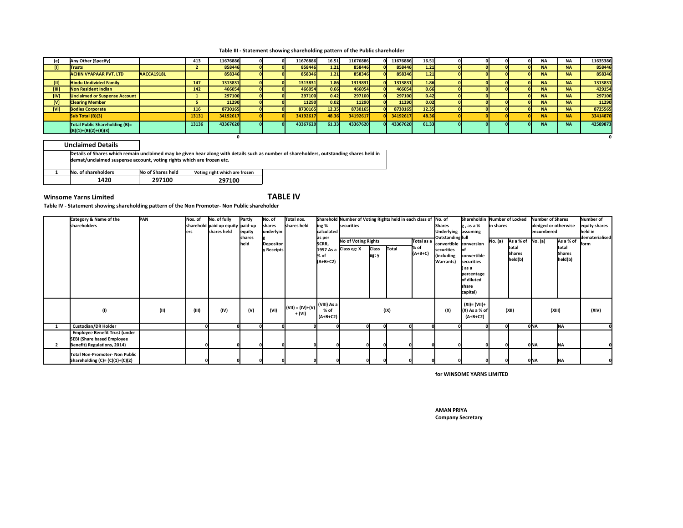**Table III - Statement showing shareholding pattern of the Public shareholder**

|            | Any Other (Specify)                                      |            | 413   | 11676886 |  | 11676886 | 16.51 | 11676886 | 11676886 | 16.51 |  |  | <b>NA</b> | <b>NA</b> | 11635386 |
|------------|----------------------------------------------------------|------------|-------|----------|--|----------|-------|----------|----------|-------|--|--|-----------|-----------|----------|
|            | <b>Trusts</b>                                            |            |       | 858446   |  | 858446   | 1.21  | 858446   | 858446   | 1.21  |  |  | <b>NA</b> | <b>NA</b> | 858446   |
|            | <b>ACHIN VYAPAAR PVT. LTD</b>                            | AACCA1918L |       | 858346   |  | 858346   | 1.21  | 858346   | 858346   | 1.21  |  |  | <b>NA</b> | <b>NA</b> | 858346   |
|            | <b>Hindu Undivided Family</b>                            |            | 147   | 1313831  |  | 1313831  | 1.86  | 1313831  | 1313831  | 1.86  |  |  | <b>NA</b> | <b>NA</b> | 1313831  |
| m          | Non Resident Indian                                      |            | 142   | 466054   |  | 466054   | 0.66  | 466054   | 466054   | 0.66  |  |  | <b>NA</b> | <b>NA</b> | 429154   |
| [IV]       | <b>Unclaimed or Suspense Account</b>                     |            |       | 297100   |  | 297100   | 0.42  | 297100   | 297100   | 0.42  |  |  | <b>NA</b> | <b>NA</b> | 297100   |
|            | <b>Clearing Member</b>                                   |            |       | 11290    |  | 11290    | 0.02  | 11290    | 11290    | 0.02  |  |  | <b>NA</b> | <b>NA</b> | 11290    |
| <b>IVI</b> | <b>Bodies Corporate</b>                                  |            | 116   | 8730165  |  | 8730165  | 12.35 | 8730165  | 8730165  | 12.35 |  |  | <b>NA</b> | <b>NA</b> | 8725565  |
|            | Sub Total (B)(3)                                         |            | 13131 | 34192617 |  | 34192617 | 48.36 | 34192617 | 34192617 | 48.36 |  |  | <b>NA</b> | <b>NA</b> | 33414870 |
|            | Total Public Shareholding (B)=<br>$(B)(1)+(B)(2)+(B)(3)$ |            | 13136 | 43367620 |  | 43367620 | 61.33 | 43367620 | 43367620 | 61.33 |  |  | <b>NA</b> | <b>NA</b> | 42589873 |
|            |                                                          |            |       |          |  |          |       |          |          |       |  |  |           |           |          |

| <b>Unclaimed Details</b>                                              |                   |                               |                                                                                                                                          |
|-----------------------------------------------------------------------|-------------------|-------------------------------|------------------------------------------------------------------------------------------------------------------------------------------|
| demat/unclaimed suspense account, voting rights which are frozen etc. |                   |                               | Details of Shares which remain unclaimed may be given hear along with details such as number of shareholders, outstanding shares held in |
| No. of shareholders                                                   | No of Shares held | Voting right which are frozen |                                                                                                                                          |
| 1420                                                                  | 297100            | 297100                        |                                                                                                                                          |

## **Winsome Yarns Limited TABLE IV**

**Table IV - Statement showing shareholding pattern of the Non Promoter- Non Public shareholder**

| Category & Name of the               | PAN  | Nos. of | No. of fully                     | Partly                 | No. of                         | Total nos.                           |                 | Sharehold Number of Voting Rights held in each class of No. of |              |       |            |                                            | Shareholdin Number of Locked |           |                     | Number of Shares     |               | Number of      |
|--------------------------------------|------|---------|----------------------------------|------------------------|--------------------------------|--------------------------------------|-----------------|----------------------------------------------------------------|--------------|-------|------------|--------------------------------------------|------------------------------|-----------|---------------------|----------------------|---------------|----------------|
| shareholders                         |      |         | sharehold paid up equity paid-up |                        | shares                         | shares held                          | ing %           | <b>securities</b>                                              |              |       |            | <b>Shares</b>                              | g, as a %                    | in shares |                     | pledged or otherwise |               | equity shares  |
|                                      |      | ers     | shares held                      | equity                 | underlyin                      |                                      | calculated      |                                                                |              |       |            | Underlying assuming                        |                              |           |                     | lencumbered          |               | held in        |
|                                      |      |         |                                  | <b>Ishares</b><br>held |                                |                                      | as per<br>SCRR, | No of Voting Rights                                            |              |       | Total as a | Outstanding full<br>convertible conversion |                              | No. (a)   | As a % of $No. (a)$ |                      | As a % of     | dematerialised |
|                                      |      |         |                                  |                        | <b>Depositor</b><br>v Receipts |                                      |                 | 1957 As a Class eg: X                                          | <b>Class</b> | Total | % of       | securities                                 | Inf                          |           | Itotal              |                      | total         | lform          |
|                                      |      |         |                                  |                        |                                |                                      | % of            |                                                                | leg: y       |       | $(A+B+C)$  | (including                                 | convertible                  |           | <b>Shares</b>       |                      | <b>Shares</b> |                |
|                                      |      |         |                                  |                        |                                |                                      | $(A+B+C2)$      |                                                                |              |       |            | Warrants)                                  | securities                   |           | held(b)             |                      | held(b)       |                |
|                                      |      |         |                                  |                        |                                |                                      |                 |                                                                |              |       |            |                                            | (as a                        |           |                     |                      |               |                |
|                                      |      |         |                                  |                        |                                |                                      |                 |                                                                |              |       |            |                                            | percentage                   |           |                     |                      |               |                |
|                                      |      |         |                                  |                        |                                |                                      |                 |                                                                |              |       |            |                                            | of diluted<br>share          |           |                     |                      |               |                |
|                                      |      |         |                                  |                        |                                |                                      |                 |                                                                |              |       |            |                                            | capital)                     |           |                     |                      |               |                |
|                                      |      |         |                                  |                        |                                |                                      |                 |                                                                |              |       |            |                                            |                              |           |                     |                      |               |                |
|                                      |      |         |                                  |                        |                                | $ (VII)=(IV)+(V) $ $(VIII)$ As a $ $ |                 |                                                                |              |       |            |                                            | (XI)= (VII)+                 |           |                     |                      |               |                |
| (1)                                  | (11) | (III)   | (IV)                             | (V)                    | (VI)                           | + (VI)                               |                 |                                                                |              | (IX)  |            | (X)                                        | $(X)$ As a % of              |           | (XII)               | (XIII)               |               | (XIV)          |
|                                      |      |         |                                  |                        |                                |                                      | $(A+B+C2)$      |                                                                |              |       |            |                                            | $(A+B+C2)$                   |           |                     |                      |               |                |
| <b>Custodian/DR Holder</b>           |      |         |                                  |                        |                                |                                      |                 |                                                                |              | ΩI    |            |                                            |                              |           |                     | 0NA                  | <b>NA</b>     |                |
| <b>Employee Benefit Trust (under</b> |      |         |                                  |                        |                                |                                      |                 |                                                                |              |       |            |                                            |                              |           |                     |                      |               |                |
| SEBI (Share based Employee           |      |         |                                  |                        |                                |                                      |                 |                                                                |              |       |            |                                            |                              |           |                     |                      |               |                |
| Benefit) Regulations, 2014)          |      |         |                                  |                        |                                |                                      |                 |                                                                |              |       |            |                                            |                              |           |                     | <b>ONA</b>           | <b>NA</b>     |                |
| Total Non-Promoter- Non Public       |      |         |                                  |                        |                                |                                      |                 |                                                                |              |       |            |                                            |                              |           |                     |                      |               |                |
| Shareholding $(C) = (C)(1)+(C)(2)$   |      |         |                                  |                        |                                |                                      |                 |                                                                |              |       |            |                                            |                              |           |                     | 0NA                  | <b>NA</b>     |                |

**for WINSOME YARNS LIMITED**

**Company Secretary AMAN PRIYA**